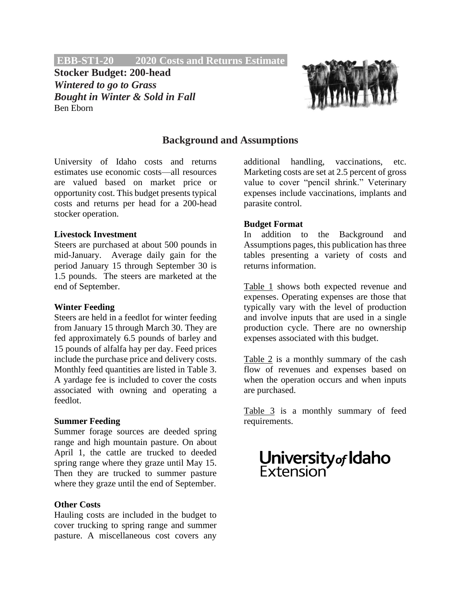**EBB-ST1-20 2020 Costs and Returns Estimate.**

**Stocker Budget: 200-head** *Wintered to go to Grass Bought in Winter & Sold in Fall* Ben Eborn



## **Background and Assumptions**

University of Idaho costs and returns estimates use economic costs—all resources are valued based on market price or opportunity cost. This budget presents typical costs and returns per head for a 200-head stocker operation.

### **Livestock Investment**

Steers are purchased at about 500 pounds in mid-January. Average daily gain for the period January 15 through September 30 is 1.5 pounds. The steers are marketed at the end of September.

#### **Winter Feeding**

Steers are held in a feedlot for winter feeding from January 15 through March 30. They are fed approximately 6.5 pounds of barley and 15 pounds of alfalfa hay per day. Feed prices include the purchase price and delivery costs. Monthly feed quantities are listed in Table 3. A yardage fee is included to cover the costs associated with owning and operating a feedlot.

### **Summer Feeding**

Summer forage sources are deeded spring range and high mountain pasture. On about April 1, the cattle are trucked to deeded spring range where they graze until May 15. Then they are trucked to summer pasture where they graze until the end of September.

## **Other Costs**

Hauling costs are included in the budget to cover trucking to spring range and summer pasture. A miscellaneous cost covers any additional handling, vaccinations, etc. Marketing costs are set at 2.5 percent of gross value to cover "pencil shrink." Veterinary expenses include vaccinations, implants and parasite control.

### **Budget Format**

In addition to the Background and Assumptions pages, this publication has three tables presenting a variety of costs and returns information.

Table 1 shows both expected revenue and expenses. Operating expenses are those that typically vary with the level of production and involve inputs that are used in a single production cycle. There are no ownership expenses associated with this budget.

Table 2 is a monthly summary of the cash flow of revenues and expenses based on when the operation occurs and when inputs are purchased.

Table 3 is a monthly summary of feed requirements.

# **University** of **Idaho**<br>Extension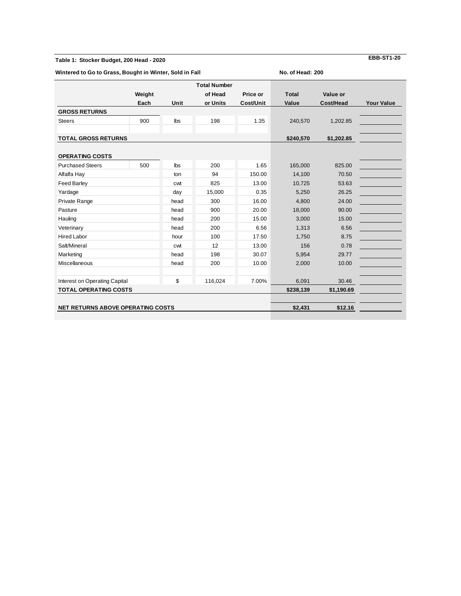#### **Table 1: Stocker Budget, 200 Head - 2020**

**Wintered to Go to Grass, Bought in Winter, Sold in Fall**

**No. of Head: 200**

|                                          |        |            | <b>Total Number</b> |           |              |            |                   |
|------------------------------------------|--------|------------|---------------------|-----------|--------------|------------|-------------------|
|                                          | Weight |            | of Head             | Price or  | <b>Total</b> | Value or   |                   |
|                                          | Each   | Unit       | or Units            | Cost/Unit | Value        | Cost/Head  | <b>Your Value</b> |
| <b>GROSS RETURNS</b>                     |        |            |                     |           |              |            |                   |
| <b>Steers</b>                            | 900    | <b>lbs</b> | 198                 | 1.35      | 240,570      | 1,202.85   |                   |
|                                          |        |            |                     |           |              |            |                   |
| <b>TOTAL GROSS RETURNS</b>               |        | \$240,570  | \$1,202.85          |           |              |            |                   |
|                                          |        |            |                     |           |              |            |                   |
| <b>OPERATING COSTS</b>                   |        |            |                     |           |              |            |                   |
| <b>Purchased Steers</b>                  | 500    | <b>lbs</b> | 200                 | 1.65      | 165,000      | 825.00     |                   |
| Alfalfa Hay                              |        | ton        | 94                  | 150.00    | 14,100       | 70.50      |                   |
| <b>Feed Barley</b>                       |        | cwt        | 825                 | 13.00     | 10,725       | 53.63      |                   |
| Yardage                                  |        | day        | 15,000              | 0.35      | 5,250        | 26.25      |                   |
| Private Range                            |        | head       | 300                 | 16.00     | 4,800        | 24.00      |                   |
| Pasture                                  |        | head       | 900                 | 20.00     | 18,000       | 90.00      |                   |
| Hauling                                  |        | head       | 200                 | 15.00     | 3,000        | 15.00      |                   |
| Veterinary                               |        | head       | 200                 | 6.56      | 1,313        | 6.56       |                   |
| <b>Hired Labor</b>                       |        | hour       | 100                 | 17.50     | 1,750        | 8.75       |                   |
| Salt/Mineral                             |        | cwt        | 12                  | 13.00     | 156          | 0.78       |                   |
| Marketing                                |        | head       | 198                 | 30.07     | 5,954        | 29.77      |                   |
| Miscellaneous                            |        | head       | 200                 | 10.00     | 2,000        | 10.00      |                   |
| Interest on Operating Capital            |        | \$         | 116,024             | 7.00%     | 6,091        | 30.46      |                   |
| <b>TOTAL OPERATING COSTS</b>             |        |            |                     |           | \$238,139    | \$1,190.69 |                   |
|                                          |        |            |                     |           |              |            |                   |
| <b>NET RETURNS ABOVE OPERATING COSTS</b> |        | \$2,431    | \$12.16             |           |              |            |                   |